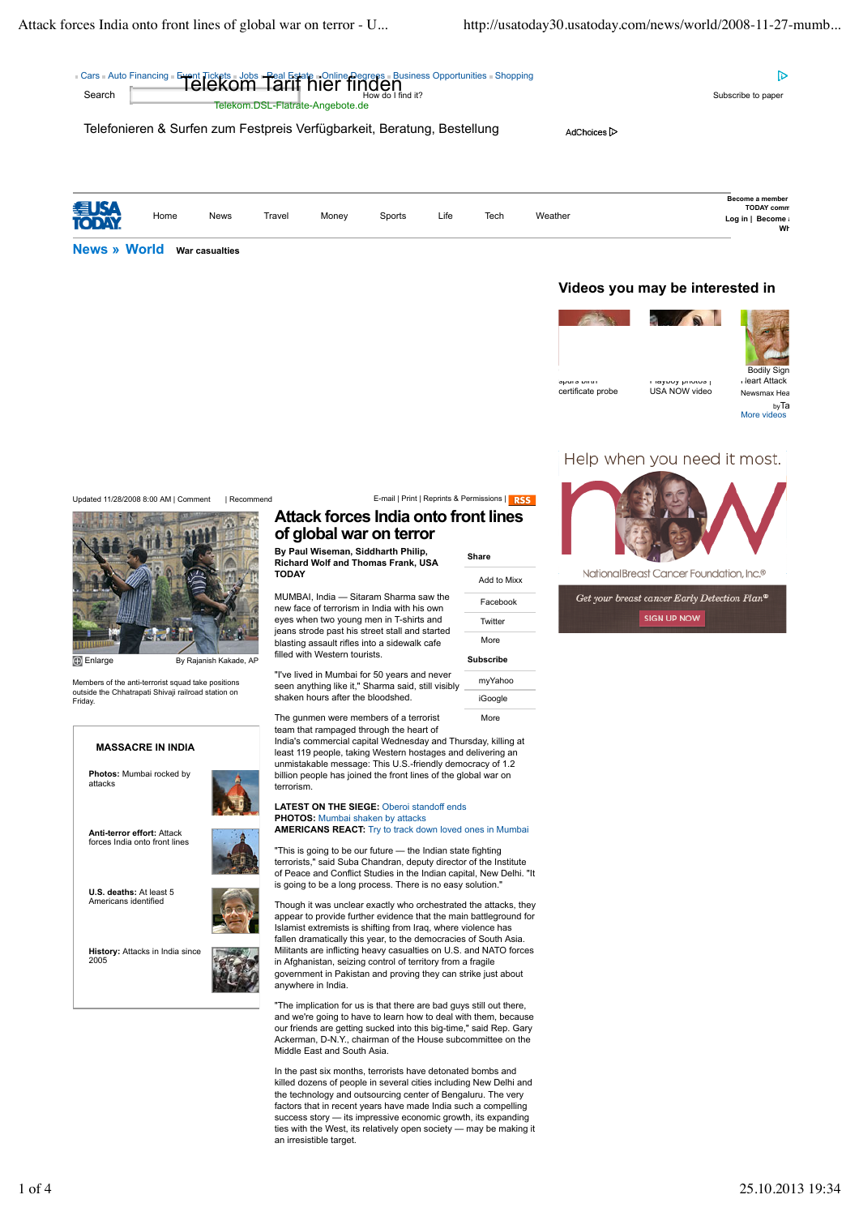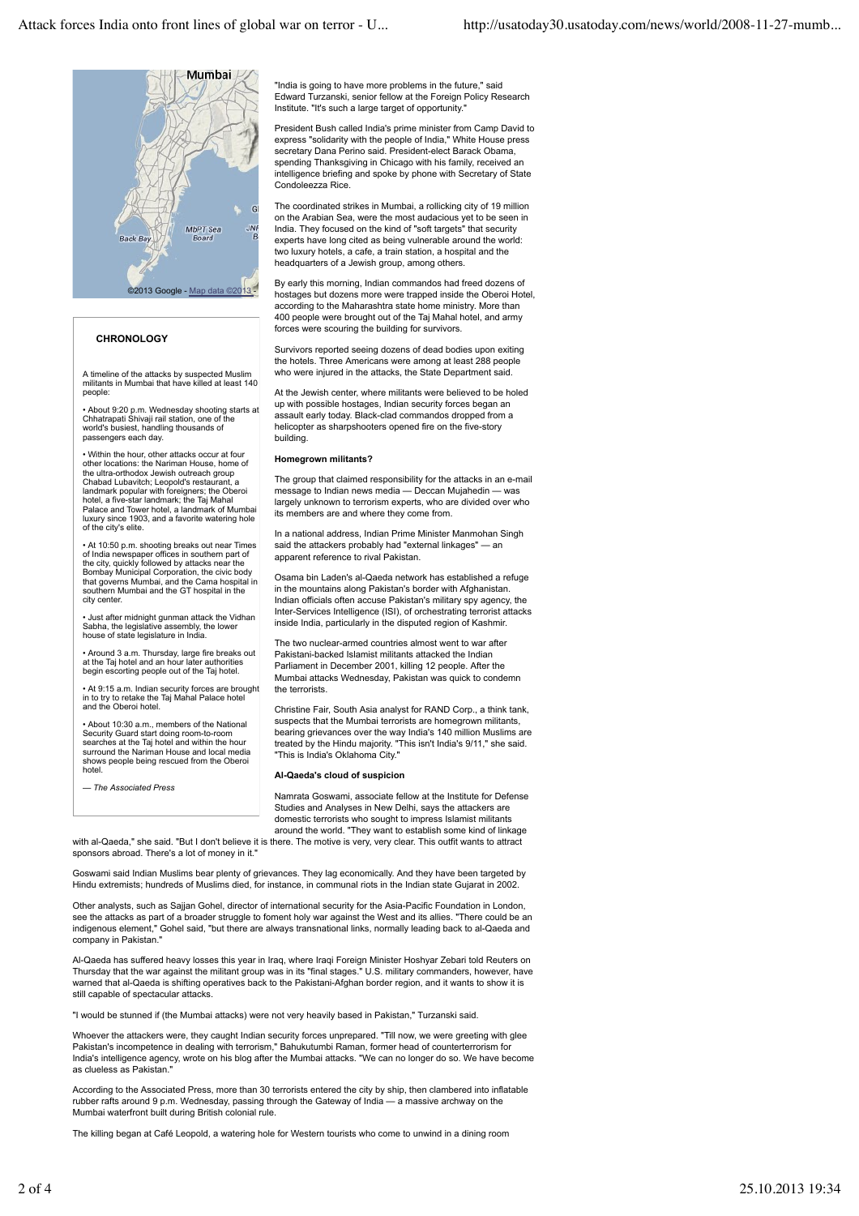

## **CHRONOLOGY**

A timeline of the attacks by suspected Muslim militants in Mumbai that have killed at least 140 people:

• About 9:20 p.m. Wednesday shooting starts at Chhatrapati Shivaji rail station, one of the world's busiest, handling thousands of me e eacher, manage

• Within the hour, other attacks occur at four other locations: the Nariman House, home of the ultra-orthodox Jewish outreach group Chabad Lubavitch; Leopold's restaurant, a landmark popular with foreigners; the Oberoi hotel, a five-star landmark; the Taj Mahal Palace and Tower hotel, a landmark of Mumbai luxury since 1903, and a favorite watering hole of the city's elite.

• At 10:50 p.m. shooting breaks out near Times of India newspaper offices in southern part of the city, quickly followed by attacks near the Bombay Municipal Corporation, the civic body that governs Mumbai, and the Cama hospital in southern Mumbai and the GT hospital in the city center.

• Just after midnight gunman attack the Vidhan Sabha, the legislative assembly, the lower house of state legislature in India.

• Around 3 a.m. Thursday, large fire breaks out at the Taj hotel and an hour later authorities begin escorting people out of the Taj hotel.

• At 9:15 a.m. Indian security forces are brought in to try to retake the Taj Mahal Palace hotel and the Oberoi hotel.

• About 10:30 a.m., members of the National Security Guard start doing room-to-room searches at the Taj hotel and within the hour surround the Nariman House and local media shows people being rescued from the Oberoi hotel.

*— The Associated Press*

"India is going to have more problems in the future," said Edward Turzanski, senior fellow at the Foreign Policy Research Institute. "It's such a large target of opportunity."

President Bush called India's prime minister from Camp David to express "solidarity with the people of India," White House press secretary Dana Perino said. President-elect Barack Obama, spending Thanksgiving in Chicago with his family, received an intelligence briefing and spoke by phone with Secretary of State Condoleezza Rice.

The coordinated strikes in Mumbai, a rollicking city of 19 million on the Arabian Sea, were the most audacious yet to be seen in India. They focused on the kind of "soft targets" that security experts have long cited as being vulnerable around the world: two luxury hotels, a cafe, a train station, a hospital and the headquarters of a Jewish group, among others.

By early this morning, Indian commandos had freed dozens of hostages but dozens more were trapped inside the Oberoi Hotel, according to the Maharashtra state home ministry. More than 400 people were brought out of the Taj Mahal hotel, and army forces were scouring the building for survivors.

Survivors reported seeing dozens of dead bodies upon exiting the hotels. Three Americans were among at least 288 people who were injured in the attacks, the State Department said.

At the Jewish center, where militants were believed to be holed up with possible hostages, Indian security forces began an assault early today. Black-clad commandos dropped from a helicopter as sharpshooters opened fire on the five-story building.

## **Homegrown militants?**

The group that claimed responsibility for the attacks in an e-mail message to Indian news media — Deccan Mujahedin — was largely unknown to terrorism experts, who are divided over who its members are and where they come from.

In a national address, Indian Prime Minister Manmohan Singh said the attackers probably had "external linkages" — an apparent reference to rival Pakistan.

Osama bin Laden's al-Qaeda network has established a refuge in the mountains along Pakistan's border with Afghanistan. Indian officials often accuse Pakistan's military spy agency, the Inter-Services Intelligence (ISI), of orchestrating terrorist attacks inside India, particularly in the disputed region of Kashmir.

The two nuclear-armed countries almost went to war after Pakistani-backed Islamist militants attacked the Indian Parliament in December 2001, killing 12 people. After the Mumbai attacks Wednesday, Pakistan was quick to condemn the terrorists.

Christine Fair, South Asia analyst for RAND Corp., a think tank, suspects that the Mumbai terrorists are homegrown militants, bearing grievances over the way India's 140 million Muslims are treated by the Hindu majority. "This isn't India's 9/11," she said. "This is India's Oklahoma City."

## **Al-Qaeda's cloud of suspicion**

Namrata Goswami, associate fellow at the Institute for Defense Studies and Analyses in New Delhi, says the attackers are domestic terrorists who sought to impress Islamist militants around the world. "They want to establish some kind of linkage

with al-Qaeda," she said. "But I don't believe it is there. The motive is very, very clear. This outfit wants to attract sponsors abroad. There's a lot of money in it.

Goswami said Indian Muslims bear plenty of grievances. They lag economically. And they have been targeted by Hindu extremists; hundreds of Muslims died, for instance, in communal riots in the Indian state Gujarat in 2002.

Other analysts, such as Saiian Gohel, director of international security for the Asia-Pacific Foundation in London, see the attacks as part of a broader struggle to foment holy war against the West and its allies. "There could be an indigenous element," Gohel said, "but there are always transnational links, normally leading back to al-Qaeda and company in Pakistan."

Al-Qaeda has suffered heavy losses this year in Iraq, where Iraqi Foreign Minister Hoshyar Zebari told Reuters on<br>Thursday that the war against the militant group was in its "final stages." U.S. military commanders, howeve warned that al-Qaeda is shifting operatives back to the Pakistani-Afghan border region, and it wants to show it is still capable of spectacular attacks.

"I would be stunned if (the Mumbai attacks) were not very heavily based in Pakistan," Turzanski said.

Whoever the attackers were, they caught Indian security forces unprepared. "Till now, we were greeting with glee Pakistan's incompetence in dealing with terrorism," Bahukutumbi Raman, former head of counterterrorism for India's intelligence agency, wrote on his blog after the Mumbai attacks. "We can no longer do so. We have become as clueless as Pakistan."

According to the Associated Press, more than 30 terrorists entered the city by ship, then clambered into inflatable rubber rafts around 9 p.m. Wednesday, passing through the Gateway of India — a massive archway on the Mumbai waterfront built during British colonial rule.

The killing began at Café Leopold, a watering hole for Western tourists who come to unwind in a dining room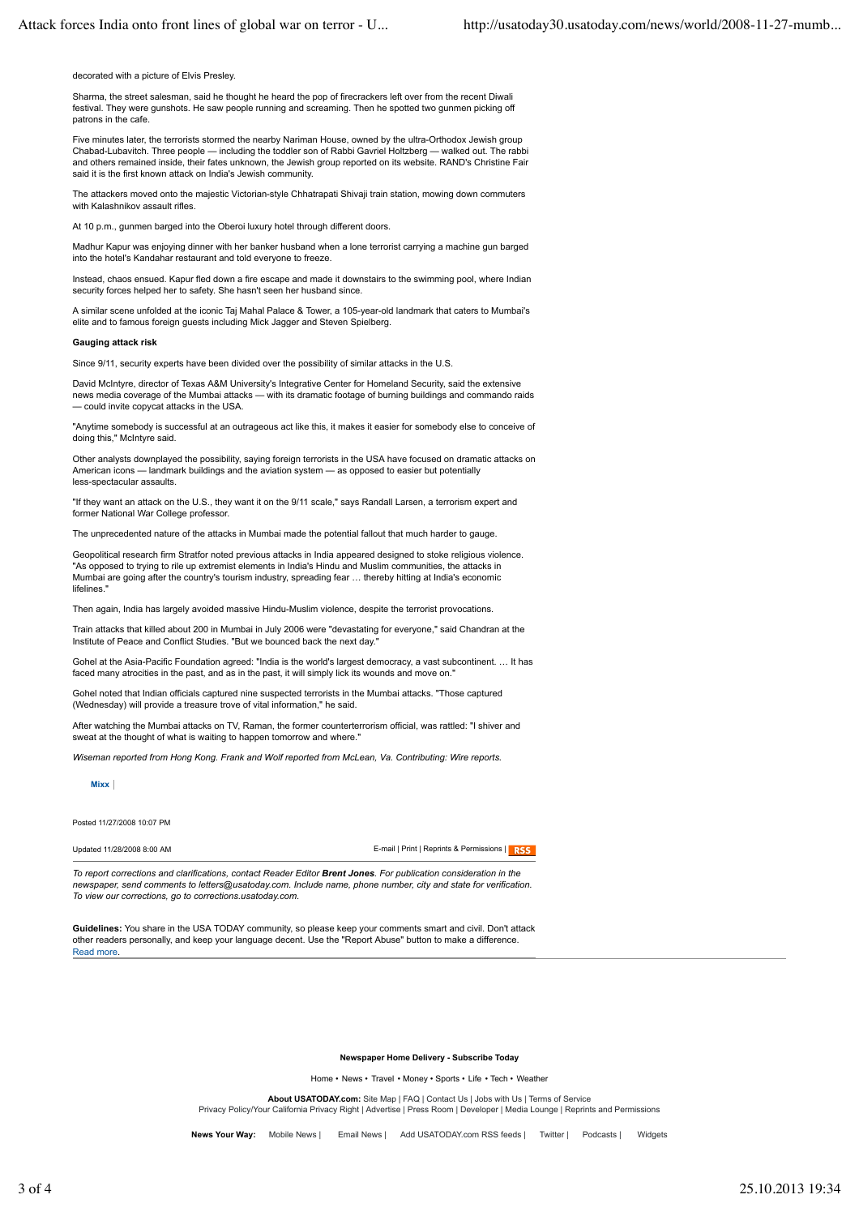decorated with a picture of Elvis Presley.

Sharma, the street salesman, said he thought he heard the pop of firecrackers left over from the recent Diwali festival. They were gunshots. He saw people running and screaming. Then he spotted two gunmen picking off patrons in the cafe.

Five minutes later, the terrorists stormed the nearby Nariman House, owned by the ultra-Orthodox Jewish group Chabad-Lubavitch. Three people — including the toddler son of Rabbi Gavriel Holtzberg — walked out. The rabbi and others remained inside, their fates unknown, the Jewish group reported on its website. RAND's Christine Fair said it is the first known attack on India's Jewish community.

The attackers moved onto the majestic Victorian-style Chhatrapati Shivaji train station, mowing down commuters with Kalashnikov assault rifles.

At 10 p.m., gunmen barged into the Oberoi luxury hotel through different doors.

Madhur Kapur was enjoying dinner with her banker husband when a lone terrorist carrying a machine gun barged into the hotel's Kandahar restaurant and told everyone to freeze.

Instead, chaos ensued. Kapur fled down a fire escape and made it downstairs to the swimming pool, where Indian security forces helped her to safety. She hasn't seen her husband since.

A similar scene unfolded at the iconic Taj Mahal Palace & Tower, a 105-year-old landmark that caters to Mumbai's elite and to famous foreign guests including Mick Jagger and Steven Spielberg.

## **Gauging attack risk**

Since 9/11, security experts have been divided over the possibility of similar attacks in the U.S.

David McIntyre, director of Texas A&M University's Integrative Center for Homeland Security, said the extensive news media coverage of the Mumbai attacks — with its dramatic footage of burning buildings and commando raids — could invite copycat attacks in the USA.

"Anytime somebody is successful at an outrageous act like this, it makes it easier for somebody else to conceive of doing this," McIntyre said.

Other analysts downplayed the possibility, saying foreign terrorists in the USA have focused on dramatic attacks on American icons — landmark buildings and the aviation system — as opposed to easier but potentially less-spectacular assaults.

"If they want an attack on the U.S., they want it on the 9/11 scale," says Randall Larsen, a terrorism expert and former National War College professor.

The unprecedented nature of the attacks in Mumbai made the potential fallout that much harder to gauge.

Geopolitical research firm Stratfor noted previous attacks in India appeared designed to stoke religious violence. "As opposed to trying to rile up extremist elements in India's Hindu and Muslim communities, the attacks in Mumbai are going after the country's tourism industry, spreading fear … thereby hitting at India's economic lifelines."

Then again, India has largely avoided massive Hindu-Muslim violence, despite the terrorist provocations.

Train attacks that killed about 200 in Mumbai in July 2006 were "devastating for everyone," said Chandran at the Institute of Peace and Conflict Studies. "But we bounced back the next day.

Gohel at the Asia-Pacific Foundation agreed: "India is the world's largest democracy, a vast subcontinent. … It has faced many atrocities in the past, and as in the past, it will simply lick its wounds and move on."

Gohel noted that Indian officials captured nine suspected terrorists in the Mumbai attacks. "Those captured (Wednesday) will provide a treasure trove of vital information," he said.

After watching the Mumbai attacks on TV, Raman, the former counterterrorism official, was rattled: "I shiver and sweat at the thought of what is waiting to happen tomorrow and where.

*Wiseman reported from Hong Kong. Frank and Wolf reported from McLean, Va. Contributing: Wire reports.*

**Mixx**

Posted 11/27/2008 10:07 PM

Updated 11/28/2008 8:00 AM **E-mail | Print | Reprints & Permissions | RSS** 

*To report corrections and clarifications, contact Reader Editor Brent Jones. For publication consideration in the newspaper, send comments to letters@usatoday.com. Include name, phone number, city and state for verification. To view our corrections, go to corrections.usatoday.com.*

**Guidelines:** You share in the USA TODAY community, so please keep your comments smart and civil. Don't attack other readers personally, and keep your language decent. Use the "Report Abuse" button to make a difference. Read more.

**Newspaper Home Delivery - Subscribe Today**

Home • News • Travel • Money • Sports • Life • Tech • Weather

**About USATODAY.com:** Site Map | FAQ | Contact Us | Jobs with Us | Terms of Service Privacy Policy/Your California Privacy Right | Advertise | Press Room | Developer | Media Lounge | Reprints and Permissions

News Your Way: Mobile News | Email News | Add USATODAY.com RSS feeds | Twitter | Podcasts | Widgets